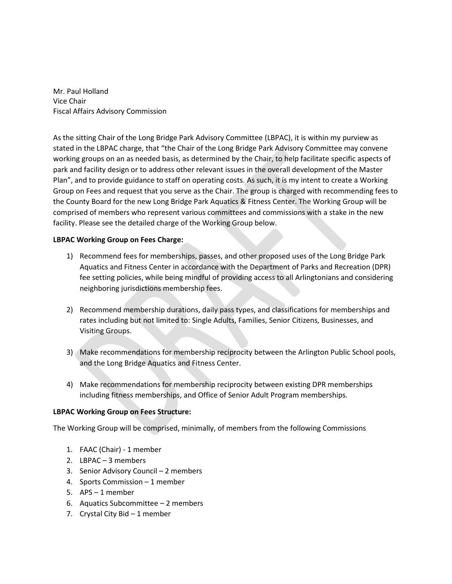Mr. Paul Holland Vice Chair Fiscal Affairs Advisory Commission

As the sitting Chair of the Long Bridge Park Advisory Committee (LBPAC), it is within my purview as stated in the LBPAC charge, that "the Chair of the Long Bridge Park Advisory Committee may convene working groups on an as needed basis, as determined by the Chair, to help facilitate specific aspects of park and facility design or to address other relevant issues in the overall development of the Master Plan", and to provide guidance to staff on operating costs. As such, it is my intent to create a Working Group on Fees and request that you serve as the Chair. The group is charged with recommending fees to the County Board for the new Long Bridge Park Aquatics & Fitness Center. The Working Group will be comprised of members who represent various committees and commissions with a stake in the new facility. Please see the detailed charge of the Working Group below.

## **LBPAC Working Group on Fees Charge:**

- 1) Recommend fees for memberships, passes, and other proposed uses of the Long Bridge Park Aquatics and Fitness Center in accordance with the Department of Parks and Recreation (DPR) fee setting policies, while being mindful of providing access to all Arlingtonians and considering neighboring jurisdictions membership fees.
- 2) Recommend membership durations, daily pass types, and classifications for memberships and rates including but not limited to: Single Adults, Families, Senior Citizens, Businesses, and Visiting Groups.
- 3) Make recommendations for membership reciprocity between the Arlington Public School pools, and the Long Bridge Aquatics and Fitness Center.
- 4) Make recommendations for membership reciprocity between existing DPR memberships including fitness memberships, and Office of Senior Adult Program memberships.

#### **LBPAC Working Group on Fees Structure:**

The Working Group will be comprised, minimally, of members from the following Commissions

- 1. FAAC (Chair) 1 member
- 2. LBPAC 3 members
- 3. Senior Advisory Council 2 members
- 4. Sports Commission 1 member
- 5. APS 1 member
- 6. Aquatics Subcommittee 2 members
- 7. Crystal City Bid 1 member